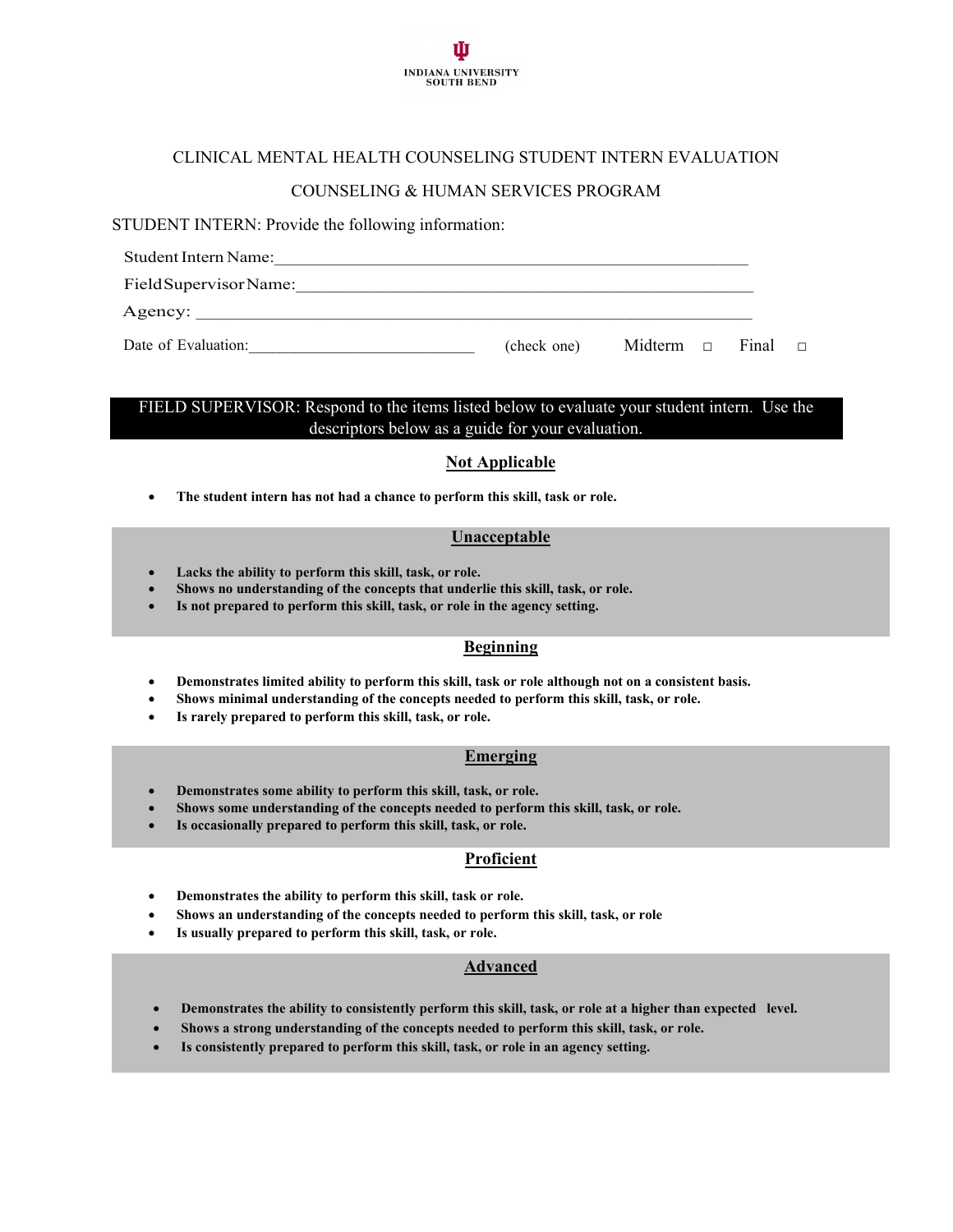

# CLINICAL MENTAL HEALTH COUNSELING STUDENT INTERN EVALUATION

# COUNSELING & HUMAN SERVICES PROGRAM

### STUDENT INTERN: Provide the following information:

| Student Intern Name:   |             |                             |  |  |
|------------------------|-------------|-----------------------------|--|--|
| Field Supervisor Name: |             |                             |  |  |
| Agency:                |             |                             |  |  |
| Date of Evaluation:    | (check one) | Midterm $\Box$ Final $\Box$ |  |  |

# FIELD SUPERVISOR: Respond to the items listed below to evaluate your student intern. Use the descriptors below as a guide for your evaluation.

# **Not Applicable**

• **The student intern has not had a chance to perform this skill, task or role.**

# **Unacceptable**

- **Lacks the ability to perform this skill, task, or role.**
- **Shows no understanding of the concepts that underlie this skill, task, or role.**
- **Is not prepared to perform this skill, task, or role in the agency setting.**

# **Beginning**

- **Demonstrates limited ability to perform this skill, task or role although not on a consistent basis.**
- **Shows minimal understanding of the concepts needed to perform this skill, task, or role.**
- **Is rarely prepared to perform this skill, task, or role.**

#### **Emerging**

- **Demonstrates some ability to perform this skill, task, or role.**
- **Shows some understanding of the concepts needed to perform this skill, task, or role.**
- **Is occasionally prepared to perform this skill, task, or role.**

# **Proficient**

- **Demonstrates the ability to perform this skill, task or role.**
- **Shows an understanding of the concepts needed to perform this skill, task, or role**
- Is usually prepared to perform this skill, task, or role.

# **Advanced**

- **Demonstrates the ability to consistently perform this skill, task, or role at a higher than expected level.**
- **Shows a strong understanding of the concepts needed to perform this skill, task, or role.**
- **Is consistently prepared to perform this skill, task, or role in an agency setting.**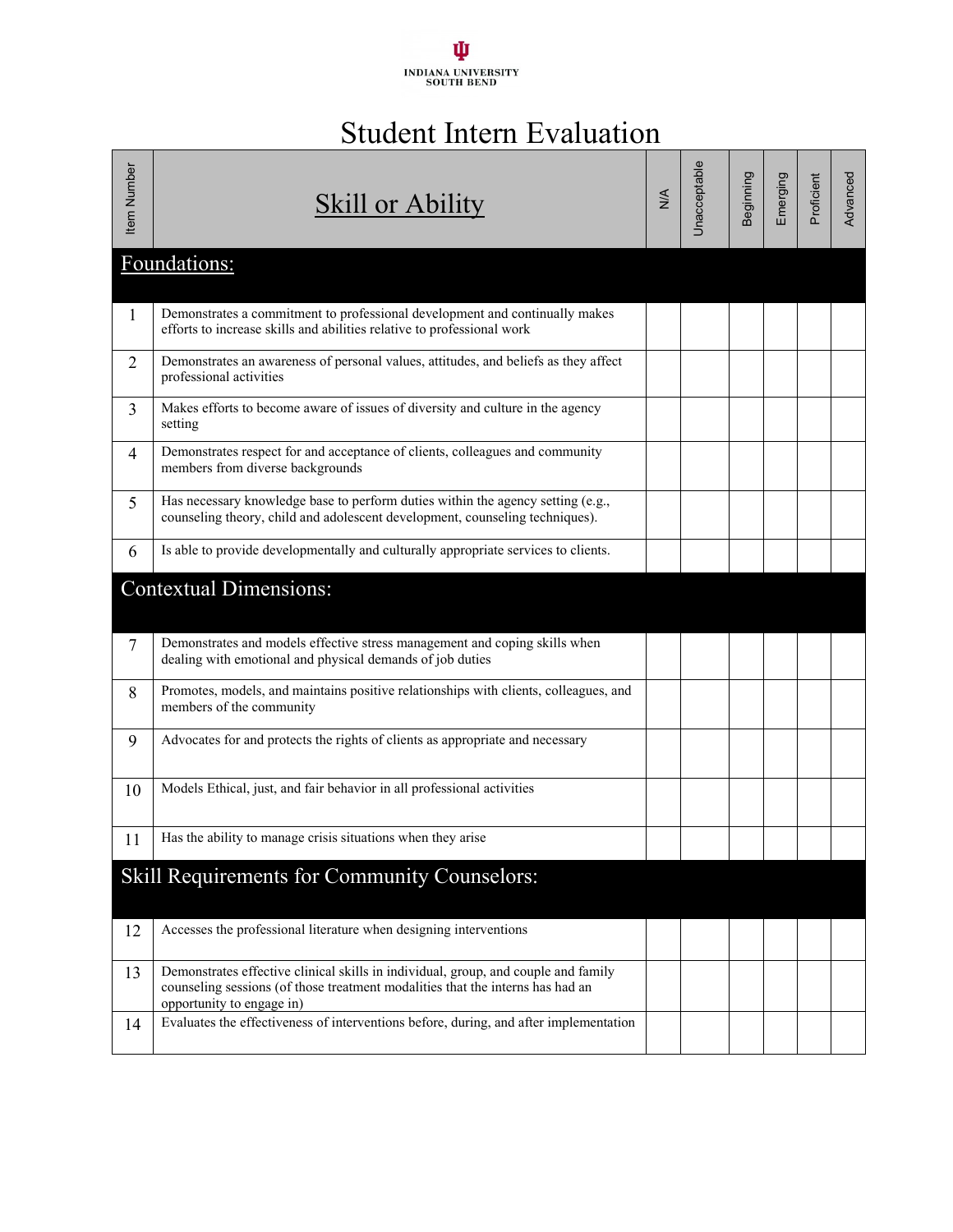# ψ INDIANA UNIVERSITY<br>SOUTH BEND

# Student Intern Evaluation

| Item Number    | Skill or Ability                                                                                                                                                                                  | $M^{\prime}$ | Unacceptable | Beginning | Emerging | Proficient | Advanced |
|----------------|---------------------------------------------------------------------------------------------------------------------------------------------------------------------------------------------------|--------------|--------------|-----------|----------|------------|----------|
|                | Foundations:                                                                                                                                                                                      |              |              |           |          |            |          |
| 1              | Demonstrates a commitment to professional development and continually makes<br>efforts to increase skills and abilities relative to professional work                                             |              |              |           |          |            |          |
| 2              | Demonstrates an awareness of personal values, attitudes, and beliefs as they affect<br>professional activities                                                                                    |              |              |           |          |            |          |
| 3              | Makes efforts to become aware of issues of diversity and culture in the agency<br>setting                                                                                                         |              |              |           |          |            |          |
| 4              | Demonstrates respect for and acceptance of clients, colleagues and community<br>members from diverse backgrounds                                                                                  |              |              |           |          |            |          |
| 5              | Has necessary knowledge base to perform duties within the agency setting (e.g.,<br>counseling theory, child and adolescent development, counseling techniques).                                   |              |              |           |          |            |          |
| 6              | Is able to provide developmentally and culturally appropriate services to clients.                                                                                                                |              |              |           |          |            |          |
|                | <b>Contextual Dimensions:</b>                                                                                                                                                                     |              |              |           |          |            |          |
| $\overline{7}$ | Demonstrates and models effective stress management and coping skills when<br>dealing with emotional and physical demands of job duties                                                           |              |              |           |          |            |          |
| 8              | Promotes, models, and maintains positive relationships with clients, colleagues, and<br>members of the community                                                                                  |              |              |           |          |            |          |
| 9              | Advocates for and protects the rights of clients as appropriate and necessary                                                                                                                     |              |              |           |          |            |          |
| 10             | Models Ethical, just, and fair behavior in all professional activities                                                                                                                            |              |              |           |          |            |          |
| 11             | Has the ability to manage crisis situations when they arise                                                                                                                                       |              |              |           |          |            |          |
|                | <b>Skill Requirements for Community Counselors:</b>                                                                                                                                               |              |              |           |          |            |          |
| 12             | Accesses the professional literature when designing interventions                                                                                                                                 |              |              |           |          |            |          |
| 13             | Demonstrates effective clinical skills in individual, group, and couple and family<br>counseling sessions (of those treatment modalities that the interns has had an<br>opportunity to engage in) |              |              |           |          |            |          |
| 14             | Evaluates the effectiveness of interventions before, during, and after implementation                                                                                                             |              |              |           |          |            |          |